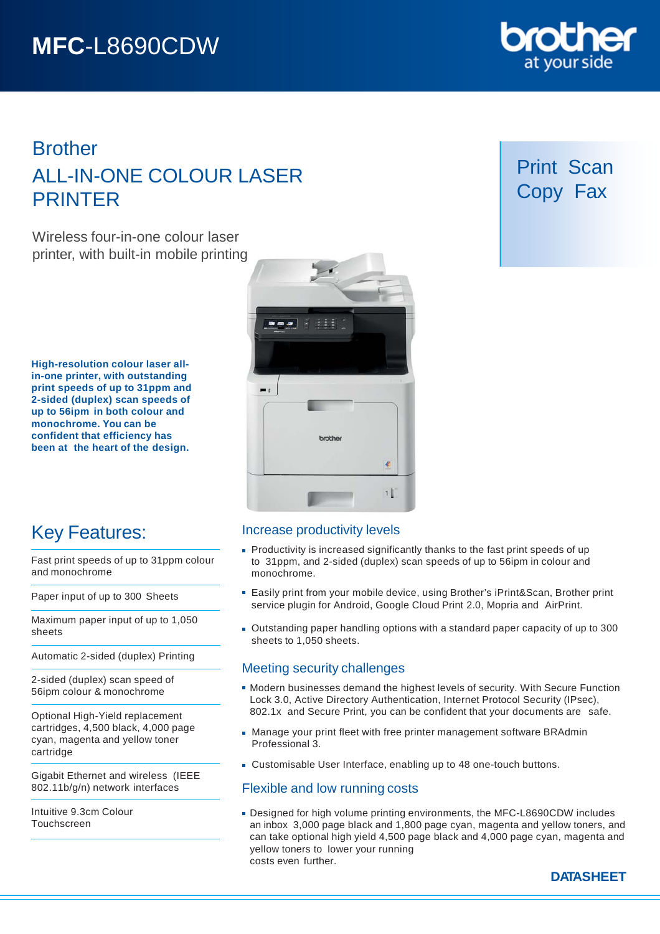# **Brother** ALL-IN-ONE COLOUR LASER PRINTER

Wireless four-in-one colour laser printer, with built-in mobile printing

**High-resolution colour laser allin-one printer, with outstanding print speeds of up to 31ppm and 2-sided (duplex) scan speeds of up to 56ipm in both colour and monochrome. You can be confident that efficiency has been at the heart of the design.**



## Key Features:

Fast print speeds of up to 31ppm colour and monochrome

Paper input of up to 300 Sheets

Maximum paper input of up to 1,050 sheets

Automatic 2-sided (duplex) Printing

2-sided (duplex) scan speed of 56ipm colour & monochrome

Optional High-Yield replacement cartridges, 4,500 black, 4,000 page cyan, magenta and yellow toner cartridge

Gigabit Ethernet and wireless (IEEE 802.11b/g/n) network interfaces

Intuitive 9.3cm Colour Touchscreen

## Increase productivity levels

- **Productivity is increased significantly thanks to the fast print speeds of up** to 31ppm, and 2-sided (duplex) scan speeds of up to 56ipm in colour and monochrome.
- Easily print from your mobile device, using Brother's iPrint&Scan, Brother print service plugin for Android, Google Cloud Print 2.0, Mopria and AirPrint.
- Outstanding paper handling options with a standard paper capacity of up to 300 sheets to 1,050 sheets.

## Meeting security challenges

- Modern businesses demand the highest levels of security. With Secure Function Lock 3.0, Active Directory Authentication, Internet Protocol Security (IPsec), 802.1x and Secure Print, you can be confident that your documents are safe.
- Manage your print fleet with free printer management software BRAdmin Professional 3.
- Customisable User Interface, enabling up to 48 one-touch buttons.

## Flexible and low running costs

Designed for high volume printing environments, the MFC-L8690CDW includes an inbox 3,000 page black and 1,800 page cyan, magenta and yellow toners, and can take optional high yield 4,500 page black and 4,000 page cyan, magenta and yellow toners to lower your running costs even further.



## Print Scan Copy Fax

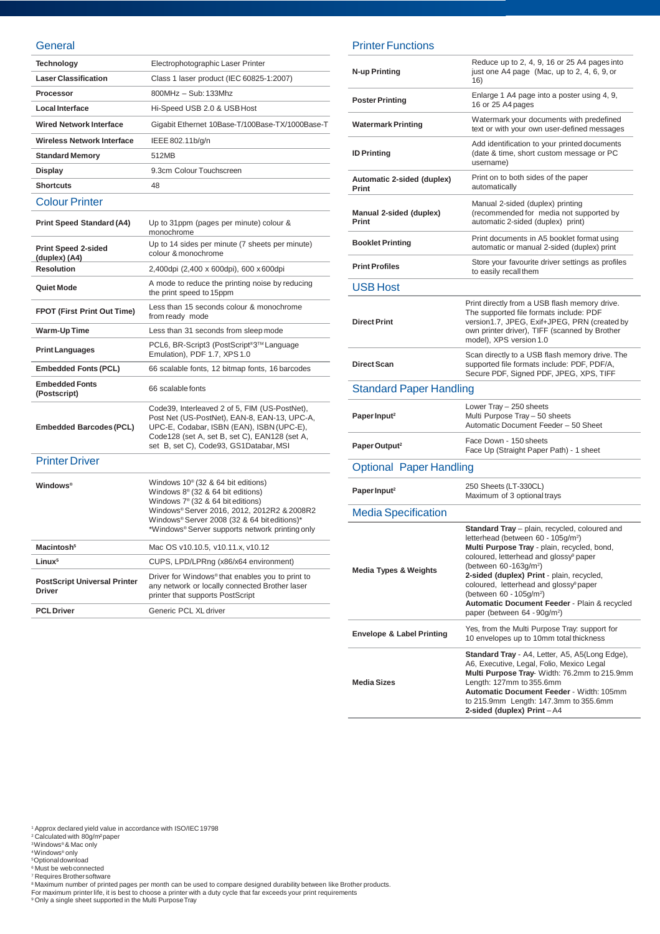#### **General**

| <b>Technology</b>                             | Electrophotographic Laser Printer                                                                                                                                                                                                                                                            |
|-----------------------------------------------|----------------------------------------------------------------------------------------------------------------------------------------------------------------------------------------------------------------------------------------------------------------------------------------------|
| <b>Laser Classification</b>                   | Class 1 laser product (IEC 60825-1:2007)                                                                                                                                                                                                                                                     |
| Processor                                     | 800MHz - Sub: 133Mhz                                                                                                                                                                                                                                                                         |
| <b>Local Interface</b>                        | Hi-Speed USB 2.0 & USB Host                                                                                                                                                                                                                                                                  |
| <b>Wired Network Interface</b>                | Gigabit Ethernet 10Base-T/100Base-TX/1000Base-T                                                                                                                                                                                                                                              |
| Wireless Network Interface                    | IEEE 802.11b/g/n                                                                                                                                                                                                                                                                             |
| <b>Standard Memory</b>                        | 512MB                                                                                                                                                                                                                                                                                        |
| <b>Display</b>                                | 9.3cm Colour Touchscreen                                                                                                                                                                                                                                                                     |
| <b>Shortcuts</b>                              | 48                                                                                                                                                                                                                                                                                           |
| <b>Colour Printer</b>                         |                                                                                                                                                                                                                                                                                              |
| <b>Print Speed Standard (A4)</b>              | Up to 31ppm (pages per minute) colour &<br>monochrome                                                                                                                                                                                                                                        |
| <b>Print Speed 2-sided</b><br>(duplex) (A4)   | Up to 14 sides per minute (7 sheets per minute)<br>colour & monochrome                                                                                                                                                                                                                       |
| <b>Resolution</b>                             | 2,400dpi (2,400 x 600dpi), 600 x 600dpi                                                                                                                                                                                                                                                      |
| Quiet Mode                                    | A mode to reduce the printing noise by reducing<br>the print speed to 15ppm                                                                                                                                                                                                                  |
| <b>FPOT (First Print Out Time)</b>            | Less than 15 seconds colour & monochrome<br>from ready mode                                                                                                                                                                                                                                  |
| Warm-Up Time                                  | Less than 31 seconds from sleep mode                                                                                                                                                                                                                                                         |
|                                               |                                                                                                                                                                                                                                                                                              |
| <b>Print Languages</b>                        | PCL6, BR-Script3 (PostScript®3™Language<br>Emulation), PDF 1.7, XPS 1.0                                                                                                                                                                                                                      |
| <b>Embedded Fonts (PCL)</b>                   | 66 scalable fonts, 12 bitmap fonts, 16 barcodes                                                                                                                                                                                                                                              |
| <b>Embedded Fonts</b><br>(Postscript)         | 66 scalable fonts                                                                                                                                                                                                                                                                            |
| <b>Embedded Barcodes (PCL)</b>                | Code39, Interleaved 2 of 5, FIM (US-PostNet),<br>Post Net (US-PostNet), EAN-8, EAN-13, UPC-A,<br>UPC-E, Codabar, ISBN (EAN), ISBN (UPC-E),<br>Code128 (set A, set B, set C), EAN128 (set A,<br>set B, set C), Code93, GS1Databar, MSI                                                        |
| <b>Printer Driver</b>                         |                                                                                                                                                                                                                                                                                              |
| <b>Windows</b> <sup>®</sup>                   | Windows $10^{\circ}$ (32 & 64 bit editions)<br>Windows $8^{\circ}$ (32 & 64 bit editions)<br>Windows 7 <sup>®</sup> (32 & 64 bit editions)<br>Windows® Server 2016, 2012, 2012R2 & 2008R2<br>Windows® Server 2008 (32 & 64 bit editions)*<br>*Windows® Server supports network printing only |
| Macintosh <sup>5</sup>                        | Mac OS v10.10.5, v10.11.x, v10.12                                                                                                                                                                                                                                                            |
| Linux <sup>5</sup>                            | CUPS, LPD/LPRng (x86/x64 environment)                                                                                                                                                                                                                                                        |
| <b>PostScript Universal Printer</b><br>Driver | Driver for Windows® that enables you to print to<br>any network or locally connected Brother laser<br>printer that supports PostScript                                                                                                                                                       |
| <b>PCL</b> Driver                             | Generic PCL XL driver                                                                                                                                                                                                                                                                        |

### Printer Functions

| N-up Printing                        | Reduce up to 2, 4, 9, 16 or 25 A4 pages into<br>just one A4 page (Mac, up to 2, 4, 6, 9, or<br>16)                                                                                                                                                                                                                                                                                                                                                                              |
|--------------------------------------|---------------------------------------------------------------------------------------------------------------------------------------------------------------------------------------------------------------------------------------------------------------------------------------------------------------------------------------------------------------------------------------------------------------------------------------------------------------------------------|
| <b>Poster Printing</b>               | Enlarge 1 A4 page into a poster using 4, 9,<br>16 or 25 A4 pages                                                                                                                                                                                                                                                                                                                                                                                                                |
| <b>Watermark Printing</b>            | Watermark your documents with predefined<br>text or with your own user-defined messages                                                                                                                                                                                                                                                                                                                                                                                         |
| <b>ID Printing</b>                   | Add identification to your printed documents<br>(date & time, short custom message or PC<br>username)                                                                                                                                                                                                                                                                                                                                                                           |
| Automatic 2-sided (duplex)<br>Print  | Print on to both sides of the paper<br>automatically                                                                                                                                                                                                                                                                                                                                                                                                                            |
| Manual 2-sided (duplex)<br>Print     | Manual 2-sided (duplex) printing<br>(recommended for media not supported by<br>automatic 2-sided (duplex) print)                                                                                                                                                                                                                                                                                                                                                                |
| <b>Booklet Printing</b>              | Print documents in A5 booklet format using<br>automatic or manual 2-sided (duplex) print                                                                                                                                                                                                                                                                                                                                                                                        |
| <b>Print Profiles</b>                | Store your favourite driver settings as profiles<br>to easily recall them                                                                                                                                                                                                                                                                                                                                                                                                       |
| <b>USB Host</b>                      |                                                                                                                                                                                                                                                                                                                                                                                                                                                                                 |
| <b>Direct Print</b>                  | Print directly from a USB flash memory drive.<br>The supported file formats include: PDF<br>version1.7, JPEG, Exif+JPEG, PRN (created by<br>own printer driver), TIFF (scanned by Brother<br>model), XPS version 1.0                                                                                                                                                                                                                                                            |
| <b>Direct Scan</b>                   | Scan directly to a USB flash memory drive. The<br>supported file formats include: PDF, PDF/A,<br>Secure PDF, Signed PDF, JPEG, XPS, TIFF                                                                                                                                                                                                                                                                                                                                        |
| <b>Standard Paper Handling</b>       |                                                                                                                                                                                                                                                                                                                                                                                                                                                                                 |
| Paper Input <sup>2</sup>             | Lower Tray - 250 sheets<br>Multi Purpose Tray - 50 sheets<br>Automatic Document Feeder - 50 Sheet                                                                                                                                                                                                                                                                                                                                                                               |
| Paper Output <sup>2</sup>            | Face Down - 150 sheets<br>Face Up (Straight Paper Path) - 1 sheet                                                                                                                                                                                                                                                                                                                                                                                                               |
| <b>Optional Paper Handling</b>       |                                                                                                                                                                                                                                                                                                                                                                                                                                                                                 |
| Paper Input <sup>2</sup>             | 250 Sheets (LT-330CL)<br>Maximum of 3 optional trays                                                                                                                                                                                                                                                                                                                                                                                                                            |
| <b>Media Specification</b>           |                                                                                                                                                                                                                                                                                                                                                                                                                                                                                 |
| <b>Media Types &amp; Weights</b>     | Standard Tray - plain, recycled, coloured and<br>letterhead (between 60 - 105q/m <sup>2</sup> )<br>Multi Purpose Tray - plain, recycled, bond,<br>coloured, letterhead and glossy <sup>9</sup> paper<br>(between 60-163g/m <sup>2</sup> )<br>2-sided (duplex) Print - plain, recycled,<br>coloured, letterhead and glossy <sup>9</sup> paper<br>(between 60 - 105g/m <sup>2</sup> )<br>Automatic Document Feeder - Plain & recycled<br>paper (between 64 - 90g/m <sup>2</sup> ) |
| <b>Envelope &amp; Label Printing</b> | Yes, from the Multi Purpose Tray: support for<br>10 envelopes up to 10mm total thickness                                                                                                                                                                                                                                                                                                                                                                                        |
| <b>Media Sizes</b>                   | Standard Tray - A4, Letter, A5, A5(Long Edge),<br>A6, Executive, Legal, Folio, Mexico Legal<br>Multi Purpose Tray- Width: 76.2mm to 215.9mm<br>Length: 127mm to 355.6mm<br>Automatic Document Feeder - Width: 105mm<br>to 215.9mm Length: 147.3mm to 355.6mm<br>2-sided (duplex) Print-A4                                                                                                                                                                                       |

<sup>1</sup> Approx declared yield value in accordance with ISO/IEC 19798<br><sup>2</sup> Calculated with 80g/m<sup>2</sup>paper<br><sup>3</sup>Windows® & Mac only<br><sup>3</sup> Optional download<br><sup>8</sup> Must be web connected<br><sup>8</sup> Maximum number of printed pages per month can b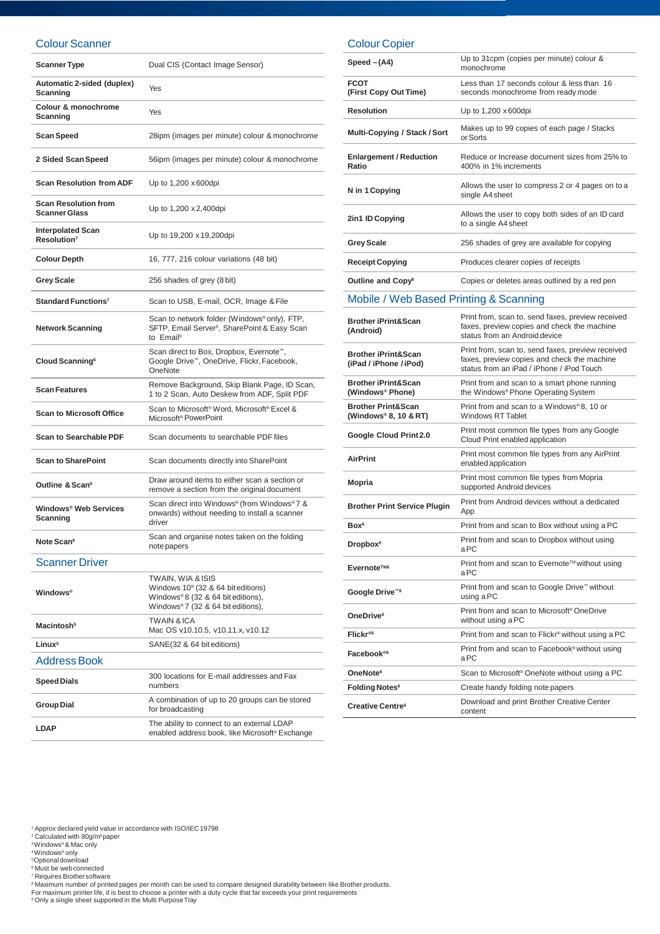#### Colour Scanner

| <b>Scanner Type</b>                                 | Dual CIS (Contact Image Sensor)                                                                                                            |
|-----------------------------------------------------|--------------------------------------------------------------------------------------------------------------------------------------------|
| Automatic 2-sided (duplex)<br>Scanning              | Yes                                                                                                                                        |
| Colour & monochrome<br>Scanning                     | Yes                                                                                                                                        |
| Scan Speed                                          | 28ipm (images per minute) colour & monochrome                                                                                              |
| 2 Sided Scan Speed                                  | 56ipm (images per minute) colour & monochrome                                                                                              |
| <b>Scan Resolution from ADF</b>                     | Up to 1,200 x 600dpi                                                                                                                       |
| <b>Scan Resolution from</b><br><b>Scanner Glass</b> | Up to 1,200 x 2,400 dpi                                                                                                                    |
| <b>Interpolated Scan</b><br>Resolution <sup>7</sup> | Up to 19,200 x 19,200dpi                                                                                                                   |
| <b>Colour Depth</b>                                 | 16, 777, 216 colour variations (48 bit)                                                                                                    |
| <b>Grey Scale</b>                                   | 256 shades of grey (8 bit)                                                                                                                 |
| Standard Functions <sup>7</sup>                     | Scan to USB, E-mail, OCR, Image & File                                                                                                     |
| <b>Network Scanning</b>                             | Scan to network folder (Windows® only), FTP,<br>SFTP, Email Server <sup>5</sup> , SharePoint & Easy Scan<br>to Email <sup>6</sup>          |
| Cloud Scanning <sup>6</sup>                         | Scan direct to Box, Dropbox, Evernote <sup>™</sup> ,<br>Google Drive™, OneDrive, Flickr, Facebook,<br>OneNote                              |
| <b>Scan Features</b>                                | Remove Background, Skip Blank Page, ID Scan,<br>1 to 2 Scan, Auto Deskew from ADF, Split PDF                                               |
| <b>Scan to Microsoft Office</b>                     | Scan to Microsoft <sup>®</sup> Word, Microsoft® Excel &<br>Microsoft <sup>®</sup> PowerPoint                                               |
| <b>Scan to Searchable PDF</b>                       | Scan documents to searchable PDF files                                                                                                     |
| <b>Scan to SharePoint</b>                           | Scan documents directly into SharePoint                                                                                                    |
| Outline & Scan <sup>6</sup>                         | Draw around items to either scan a section or<br>remove a section from the original document                                               |
| Windows <sup>®</sup> Web Services<br>Scanning       | Scan direct into Windows® (from Windows®7 &<br>onwards) without needing to install a scanner<br>driver                                     |
| Note Scan <sup>6</sup>                              | Scan and organise notes taken on the folding<br>note papers                                                                                |
| <b>Scanner Driver</b>                               |                                                                                                                                            |
| <b>Windows</b> <sup>®</sup>                         | TWAIN, WIA & ISIS<br>Windows $10^{\circ}$ (32 & 64 bit editions)<br>Windows®8 (32 & 64 bit editions),<br>Windows®7 (32 & 64 bit editions), |
| Macintosh <sup>5</sup>                              | <b>TWAIN &amp; ICA</b><br>Mac OS v10.10.5, v10.11.x, v10.12                                                                                |
| Linux <sup>5</sup>                                  | SANE(32 & 64 bit editions)                                                                                                                 |
| <b>Address Book</b>                                 |                                                                                                                                            |
| <b>Speed Dials</b>                                  | 300 locations for E-mail addresses and Fax<br>numbers                                                                                      |
| <b>Group Dial</b>                                   | A combination of up to 20 groups can be stored<br>for broadcasting                                                                         |
| <b>LDAP</b>                                         | The ability to connect to an external LDAP<br>enabled address book, like Microsoft® Exchange                                               |

Colour Copier

| $Speed - (A4)$                                           | Up to 31cpm (copies per minute) colour &<br>monochrome                                                                                        |
|----------------------------------------------------------|-----------------------------------------------------------------------------------------------------------------------------------------------|
| <b>FCOT</b><br>(First Copy Out Time)                     | Less than 17 seconds colour & less than 16<br>seconds monochrome from ready mode                                                              |
| <b>Resolution</b>                                        | Up to 1,200 x 600dpi                                                                                                                          |
| <b>Multi-Copying / Stack / Sort</b>                      | Makes up to 99 copies of each page / Stacks<br>or Sorts                                                                                       |
| <b>Enlargement / Reduction</b><br>Ratio                  | Reduce or Increase document sizes from 25% to<br>400% in 1% increments                                                                        |
| N in 1 Copying                                           | Allows the user to compress 2 or 4 pages on to a<br>single A4 sheet                                                                           |
| 2in1 ID Copying                                          | Allows the user to copy both sides of an ID card<br>to a single A4 sheet                                                                      |
| <b>Grey Scale</b>                                        | 256 shades of grey are available for copying                                                                                                  |
| <b>Receipt Copying</b>                                   | Produces clearer copies of receipts                                                                                                           |
| Outline and Copy <sup>6</sup>                            | Copies or deletes areas outlined by a red pen                                                                                                 |
| Mobile / Web Based Printing & Scanning                   |                                                                                                                                               |
| <b>Brother iPrint&amp;Scan</b><br>(Android)              | Print from, scan to, send faxes, preview received<br>faxes, preview copies and check the machine<br>status from an Android device             |
| <b>Brother iPrint&amp;Scan</b><br>(iPad / iPhone / iPod) | Print from, scan to, send faxes, preview received<br>faxes, preview copies and check the machine<br>status from an iPad / iPhone / iPod Touch |
| <b>Brother iPrint&amp;Scan</b><br>(Windows® Phone)       | Print from and scan to a smart phone running<br>the Windows® Phone Operating System                                                           |
| <b>Brother Print&amp;Scan</b><br>(Windows® 8, 10 & RT)   | Print from and scan to a Windows®8, 10 or<br><b>Windows RT Tablet</b>                                                                         |
| Google Cloud Print 2.0                                   | Print most common file types from any Google<br>Cloud Print enabled application                                                               |
| <b>AirPrint</b>                                          | Print most common file types from any AirPrint<br>enabled application                                                                         |
| Mopria                                                   | Print most common file types from Mopria<br>supported Android devices                                                                         |
| <b>Brother Print Service Plugin</b>                      | Print from Android devices without a dedicated<br>App                                                                                         |
| Box <sup>6</sup>                                         | Print from and scan to Box without using a PC                                                                                                 |
| <b>Dropbox</b> <sup>6</sup>                              | Print from and scan to Dropbox without using<br>aPC                                                                                           |
| Evernote™ <sup>6</sup>                                   | Print from and scan to Evernote™ without using<br>aPC                                                                                         |
| Google Drive™                                            | Print from and scan to Google Drive™ without<br>using a PC                                                                                    |
| OneDrive <sup>6</sup>                                    | Print from and scan to Microsoft <sup>®</sup> OneDrive<br>without using a PC                                                                  |
| Flickr <sup>®6</sup>                                     | Print from and scan to Flickr <sup>®</sup> without using a PC                                                                                 |
| Facebook <sup>®6</sup>                                   | Print from and scan to Facebook <sup>®</sup> without using<br>aPC                                                                             |
| OneNote <sup>6</sup>                                     | Scan to Microsoft <sup>®</sup> OneNote without using a PC                                                                                     |
| <b>Folding Notes<sup>6</sup></b>                         | Create handy folding note papers                                                                                                              |
| Creative Centre <sup>6</sup>                             | Download and print Brother Creative Center<br>content                                                                                         |

' Approx declared yield value in accordance with ISO/IEC 19798<br>? Calculated with 80g/m²paper<br>ᢀWindows® & Mac only<br>♦Windows® only

<sup>s</sup>Optional download<br>° Must be web connected<br><sup>8</sup> Requires Brothersoftware<br>For maximum number of printed pages per month can be used to compare designed durability between like Brother products.<br><sup>8</sup> Maximum number of prin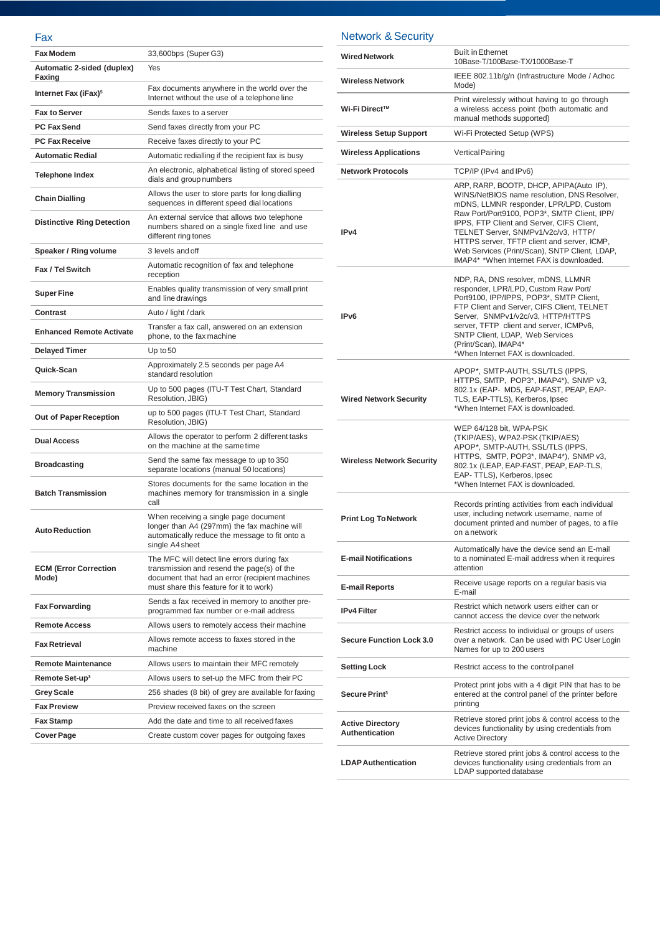#### Fax

| 33,600bps (Super G3)                                                                                                                                                                  |
|---------------------------------------------------------------------------------------------------------------------------------------------------------------------------------------|
| Yes                                                                                                                                                                                   |
| Fax documents anywhere in the world over the<br>Internet without the use of a telephone line                                                                                          |
| Sends faxes to a server                                                                                                                                                               |
| Send faxes directly from your PC                                                                                                                                                      |
| Receive faxes directly to your PC                                                                                                                                                     |
| Automatic redialling if the recipient fax is busy                                                                                                                                     |
| An electronic, alphabetical listing of stored speed<br>dials and group numbers                                                                                                        |
| Allows the user to store parts for long dialling<br>sequences in different speed dial locations                                                                                       |
| An external service that allows two telephone<br>numbers shared on a single fixed line and use<br>different ring tones                                                                |
| 3 levels and off                                                                                                                                                                      |
| Automatic recognition of fax and telephone<br>reception                                                                                                                               |
| Enables quality transmission of very small print<br>and line drawings                                                                                                                 |
| Auto / light / dark                                                                                                                                                                   |
| Transfer a fax call, answered on an extension<br>phone, to the fax machine                                                                                                            |
| Up to $50$                                                                                                                                                                            |
| Approximately 2.5 seconds per page A4<br>standard resolution                                                                                                                          |
| Up to 500 pages (ITU-T Test Chart, Standard<br>Resolution, JBIG)                                                                                                                      |
| up to 500 pages (ITU-T Test Chart, Standard<br>Resolution, JBIG)                                                                                                                      |
| Allows the operator to perform 2 different tasks<br>on the machine at the same time                                                                                                   |
| Send the same fax message to up to 350<br>separate locations (manual 50 locations)                                                                                                    |
| Stores documents for the same location in the<br>machines memory for transmission in a single<br>call                                                                                 |
| When receiving a single page document<br>longer than A4 (297mm) the fax machine will<br>automatically reduce the message to fit onto a<br>single A4 sheet                             |
| The MFC will detect line errors during fax<br>transmission and resend the page(s) of the<br>document that had an error (recipient machines<br>must share this feature for it to work) |
| Sends a fax received in memory to another pre-<br>programmed fax number or e-mail address                                                                                             |
| Allows users to remotely access their machine                                                                                                                                         |
| Allows remote access to faxes stored in the<br>machine                                                                                                                                |
| Allows users to maintain their MFC remotely                                                                                                                                           |
| Allows users to set-up the MFC from their PC                                                                                                                                          |
| 256 shades (8 bit) of grey are available for faxing                                                                                                                                   |
| Preview received faxes on the screen                                                                                                                                                  |
|                                                                                                                                                                                       |
| Add the date and time to all received faxes                                                                                                                                           |
|                                                                                                                                                                                       |

Network & S*e*curity

| <b>Wired Network</b>                      | <b>Built in Ethernet</b><br>10Base-T/100Base-TX/1000Base-T                                                                                                                                                                                                                                                                                                                                                      |
|-------------------------------------------|-----------------------------------------------------------------------------------------------------------------------------------------------------------------------------------------------------------------------------------------------------------------------------------------------------------------------------------------------------------------------------------------------------------------|
| <b>Wireless Network</b>                   | IEEE 802.11b/g/n (Infrastructure Mode / Adhoc<br>Mode)                                                                                                                                                                                                                                                                                                                                                          |
| Wi-Fi Direct™                             | Print wirelessly without having to go through<br>a wireless access point (both automatic and<br>manual methods supported)                                                                                                                                                                                                                                                                                       |
| <b>Wireless Setup Support</b>             | Wi-Fi Protected Setup (WPS)                                                                                                                                                                                                                                                                                                                                                                                     |
| <b>Wireless Applications</b>              | <b>Vertical Pairing</b>                                                                                                                                                                                                                                                                                                                                                                                         |
| <b>Network Protocols</b>                  | TCP/IP (IPv4 and IPv6)                                                                                                                                                                                                                                                                                                                                                                                          |
| IP <sub>v4</sub>                          | ARP, RARP, BOOTP, DHCP, APIPA(Auto IP),<br>WINS/NetBIOS name resolution, DNS Resolver,<br>mDNS, LLMNR responder, LPR/LPD, Custom<br>Raw Port/Port9100, POP3*, SMTP Client, IPP/<br>IPPS, FTP Client and Server, CIFS Client,<br>TELNET Server, SNMPv1/v2c/v3, HTTP/<br>HTTPS server, TFTP client and server, ICMP,<br>Web Services (Print/Scan), SNTP Client, LDAP,<br>IMAP4* *When Internet FAX is downloaded. |
| IP <sub>v6</sub>                          | NDP, RA, DNS resolver, mDNS, LLMNR<br>responder, LPR/LPD, Custom Raw Port/<br>Port9100, IPP/IPPS, POP3*, SMTP Client,<br>FTP Client and Server, CIFS Client, TELNET<br>Server, SNMPv1/v2c/v3, HTTP/HTTPS<br>server, TFTP client and server, ICMPv6,<br>SNTP Client, LDAP, Web Services<br>(Print/Scan), IMAP4*<br>*When Internet FAX is downloaded.                                                             |
| <b>Wired Network Security</b>             | APOP*, SMTP-AUTH, SSL/TLS (IPPS,<br>HTTPS, SMTP, POP3*, IMAP4*), SNMP v3,<br>802.1x (EAP- MD5, EAP-FAST, PEAP, EAP-<br>TLS, EAP-TTLS), Kerberos, Ipsec<br>*When Internet FAX is downloaded.                                                                                                                                                                                                                     |
| <b>Wireless Network Security</b>          | WEP 64/128 bit, WPA-PSK<br>(TKIP/AES), WPA2-PSK (TKIP/AES)<br>APOP*, SMTP-AUTH, SSL/TLS (IPPS,<br>HTTPS, SMTP, POP3*, IMAP4*), SNMP v3,<br>802.1x (LEAP, EAP-FAST, PEAP, EAP-TLS,<br>EAP-TTLS), Kerberos, Ipsec<br>*When Internet FAX is downloaded.                                                                                                                                                            |
| <b>Print Log To Network</b>               | Records printing activities from each individual<br>user, including network username, name of<br>document printed and number of pages, to a file<br>on a network                                                                                                                                                                                                                                                |
| <b>E-mail Notifications</b>               | Automatically have the device send an E-mail<br>to a nominated E-mail address when it requires<br>attention                                                                                                                                                                                                                                                                                                     |
| <b>E-mail Reports</b>                     | Receive usage reports on a regular basis via<br>E-mail                                                                                                                                                                                                                                                                                                                                                          |
| <b>IPv4 Filter</b>                        | Restrict which network users either can or<br>cannot access the device over the network                                                                                                                                                                                                                                                                                                                         |
| <b>Secure Function Lock 3.0</b>           | Restrict access to individual or groups of users<br>over a network. Can be used with PC User Login<br>Names for up to 200 users                                                                                                                                                                                                                                                                                 |
| <b>Setting Lock</b>                       | Restrict access to the control panel                                                                                                                                                                                                                                                                                                                                                                            |
| Secure Print <sup>3</sup>                 | Protect print jobs with a 4 digit PIN that has to be<br>entered at the control panel of the printer before<br>printing                                                                                                                                                                                                                                                                                          |
| <b>Active Directory</b><br>Authentication | Retrieve stored print jobs & control access to the<br>devices functionality by using credentials from<br><b>Active Directory</b>                                                                                                                                                                                                                                                                                |
| <b>LDAP Authentication</b>                | Retrieve stored print jobs & control access to the<br>devices functionality using credentials from an<br>LDAP supported database                                                                                                                                                                                                                                                                                |